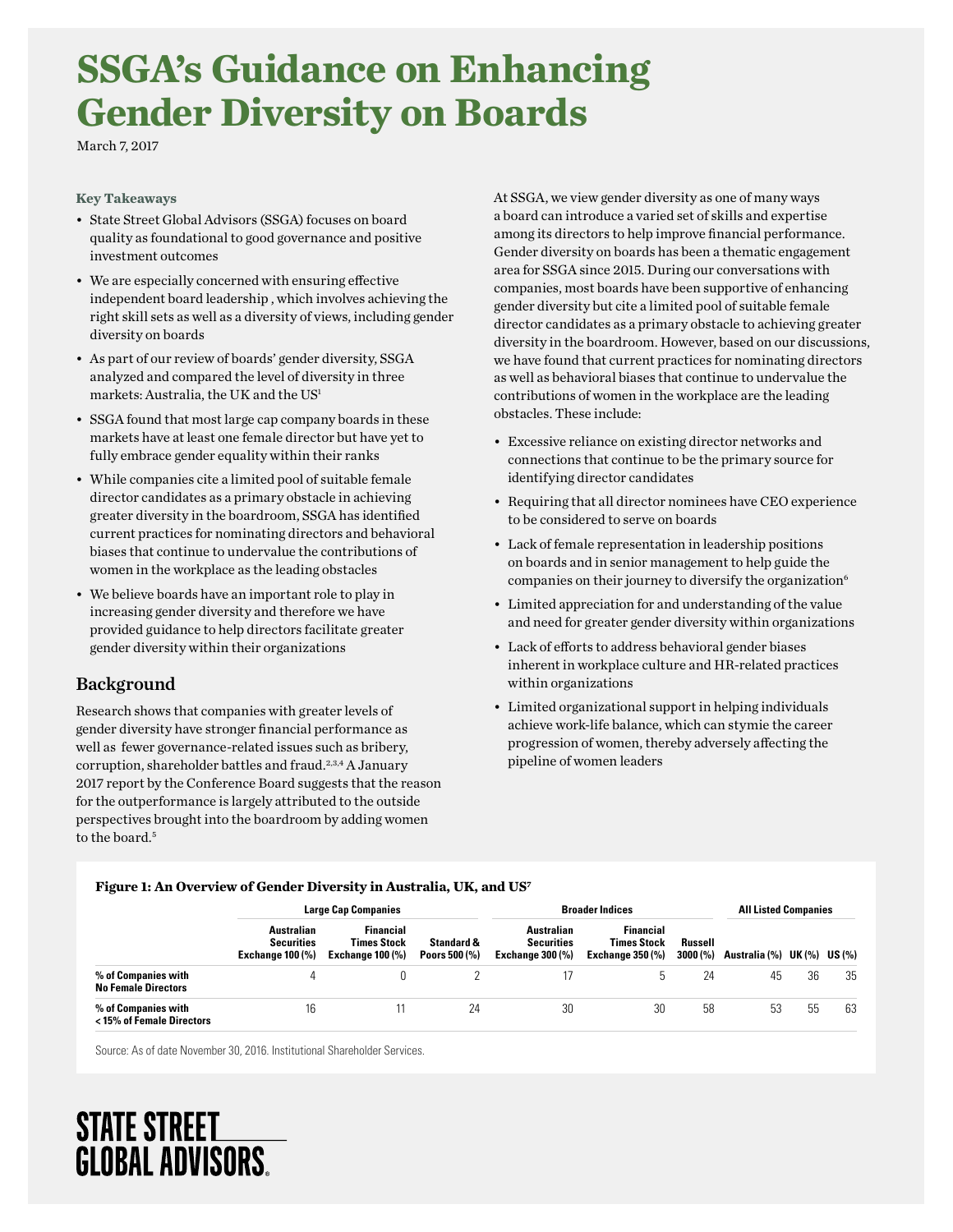# **SSGA's Guidance on Enhancing Gender Diversity on Boards**

March 7, 2017

## **Key Takeaways**

- State Street Global Advisors (SSGA) focuses on board quality as foundational to good governance and positive investment outcomes
- We are especially concerned with ensuring efective independent board leadership , which involves achieving the right skill sets as well as a diversity of views, including gender diversity on boards
- As part of our review of boards' gender diversity, SSGA analyzed and compared the level of diversity in three markets: Australia, the UK and the US1
- SSGA found that most large cap company boards in these markets have at least one female director but have yet to fully embrace gender equality within their ranks
- While companies cite a limited pool of suitable female director candidates as a primary obstacle in achieving greater diversity in the boardroom, SSGA has identifed current practices for nominating directors and behavioral biases that continue to undervalue the contributions of women in the workplace as the leading obstacles
- provided guidance to help directors facilitate greater • We believe boards have an important role to play in increasing gender diversity and therefore we have gender diversity within their organizations

## Background

Research shows that companies with greater levels of gender diversity have stronger fnancial performance as well as fewer governance-related issues such as bribery, corruption, shareholder battles and fraud.<sup>2,3,4</sup> A January 2017 report by the Conference Board suggests that the reason for the outperformance is largely attributed to the outside perspectives brought into the boardroom by adding women to the board.<sup>5</sup>

At SSGA, we view gender diversity as one of many ways a board can introduce a varied set of skills and expertise among its directors to help improve fnancial performance. Gender diversity on boards has been a thematic engagement area for SSGA since 2015. During our conversations with companies, most boards have been supportive of enhancing gender diversity but cite a limited pool of suitable female director candidates as a primary obstacle to achieving greater diversity in the boardroom. However, based on our discussions, we have found that current practices for nominating directors as well as behavioral biases that continue to undervalue the contributions of women in the workplace are the leading obstacles. These include:

- Excessive reliance on existing director networks and connections that continue to be the primary source for identifying director candidates
- Requiring that all director nominees have CEO experience to be considered to serve on boards
- Lack of female representation in leadership positions on boards and in senior management to help guide the companies on their journey to diversify the organization<sup>6</sup>
- Limited appreciation for and understanding of the value and need for greater gender diversity within organizations
- Lack of eforts to address behavioral gender biases inherent in workplace culture and HR-related practices within organizations
- Limited organizational support in helping individuals achieve work-life balance, which can stymie the career progression of women, thereby adversely afecting the pipeline of women leaders

#### **Figure 1: An Overview of Gender Diversity in Australia, UK, and US7**

|                                                   | <b>Large Cap Companies</b>                                 |                                                                   |                             | <b>Broader Indices</b>                                     |                                                            |                     | <b>All Listed Companies</b> |    |    |
|---------------------------------------------------|------------------------------------------------------------|-------------------------------------------------------------------|-----------------------------|------------------------------------------------------------|------------------------------------------------------------|---------------------|-----------------------------|----|----|
|                                                   | Australian<br><b>Securities</b><br><b>Exchange 100 (%)</b> | <b>Financial</b><br><b>Times Stock</b><br><b>Exchange 100 (%)</b> | Standard &<br>Poors 500 (%) | Australian<br><b>Securities</b><br><b>Exchange 300 (%)</b> | <b>Financial</b><br>Times Stock<br><b>Exchange 350 (%)</b> | Russell<br>3000 (%) | Australia (%) UK (%) US (%) |    |    |
| % of Companies with<br><b>No Female Directors</b> |                                                            |                                                                   |                             |                                                            |                                                            | 24                  | 45                          | 36 | 35 |
| % of Companies with<br>< 15% of Female Directors  | 16                                                         |                                                                   | 24                          | 30                                                         | 30                                                         | 58                  | 53                          | 55 | 63 |

Source: As of date November 30, 2016. Institutional Shareholder Services.

## **STATE STREET GLOBAL ADVISORS**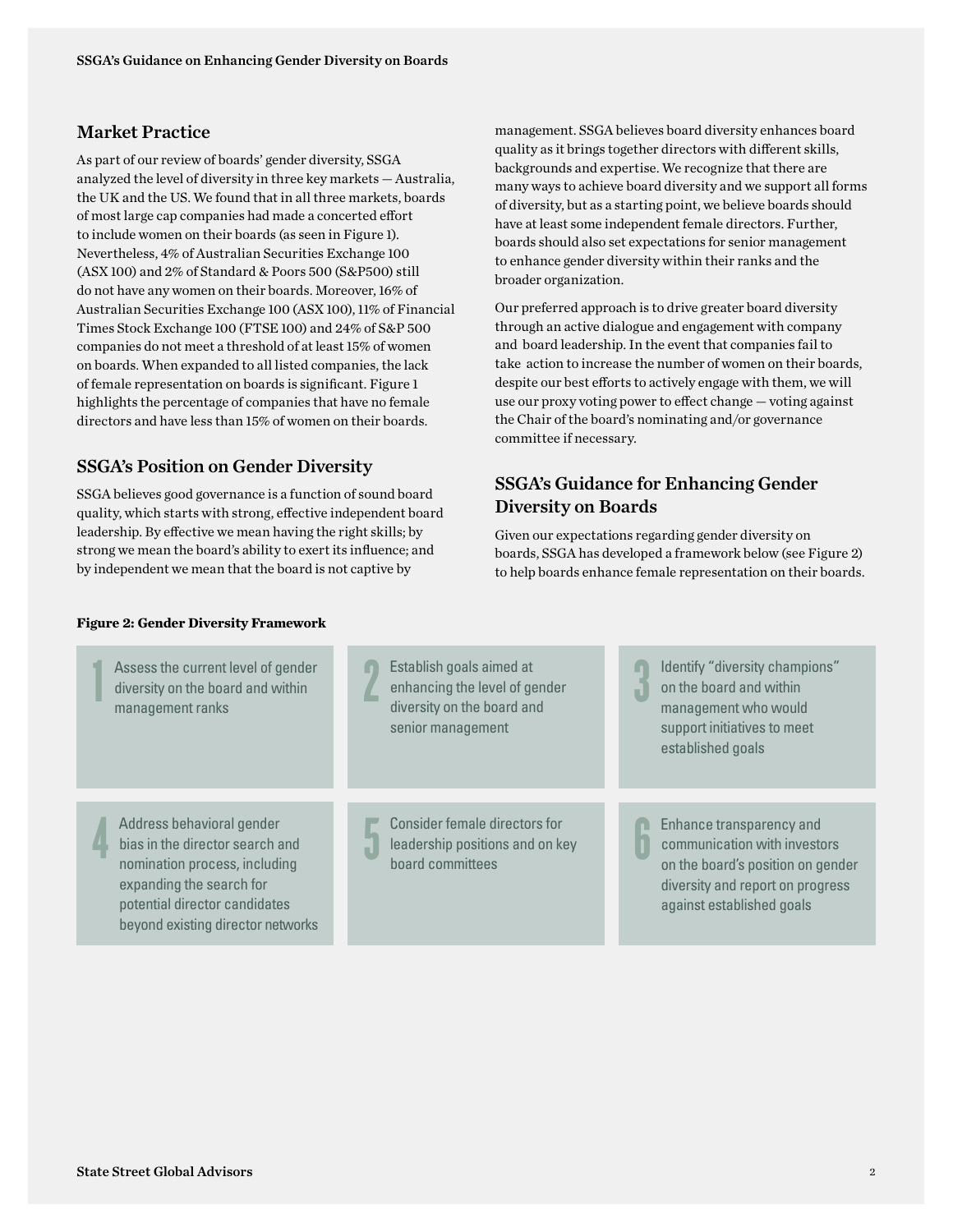## Market Practice

As part of our review of boards' gender diversity, SSGA analyzed the level of diversity in three key markets — Australia, the UK and the US. We found that in all three markets, boards of most large cap companies had made a concerted efort to include women on their boards (as seen in Figure 1). Nevertheless, 4% of Australian Securities Exchange 100 (ASX 100) and 2% of Standard & Poors 500 (S&P500) still do not have any women on their boards. Moreover, 16% of Australian Securities Exchange 100 (ASX 100), 11% of Financial Times Stock Exchange 100 (FTSE 100) and 24% of S&P 500 companies do not meet a threshold of at least 15% of women on boards. When expanded to all listed companies, the lack of female representation on boards is signifcant. Figure 1 highlights the percentage of companies that have no female directors and have less than 15% of women on their boards.

## SSGA's Position on Gender Diversity

SSGA believes good governance is a function of sound board quality, which starts with strong, efective independent board leadership. By effective we mean having the right skills; by strong we mean the board's ability to exert its infuence; and by independent we mean that the board is not captive by

management. SSGA believes board diversity enhances board quality as it brings together directors with diferent skills, backgrounds and expertise. We recognize that there are many ways to achieve board diversity and we support all forms of diversity, but as a starting point, we believe boards should have at least some independent female directors. Further, boards should also set expectations for senior management to enhance gender diversity within their ranks and the broader organization.

Our preferred approach is to drive greater board diversity through an active dialogue and engagement with company and board leadership. In the event that companies fail to take action to increase the number of women on their boards, despite our best efforts to actively engage with them, we will use our proxy voting power to efect change — voting against the Chair of the board's nominating and/or governance committee if necessary.

## SSGA's Guidance for Enhancing Gender Diversity on Boards

3

Given our expectations regarding gender diversity on boards, SSGA has developed a framework below (see Figure 2) to help boards enhance female representation on their boards.

### **Figure 2: Gender Diversity Framework**



potential director candidates beyond existing director networks 2 Establish goals aimed at enhancing the level of gender diversity on the board and senior management

Address behavioral gender bias in the director search and nomination process, including expanding the search for 5 Consider female directors for leadership positions and on key board committees

Identify "diversity champions" on the board and within management who would support initiatives to meet established goals

6 Enhance transparency and communication with investors on the board's position on gender diversity and report on progress against established goals

4